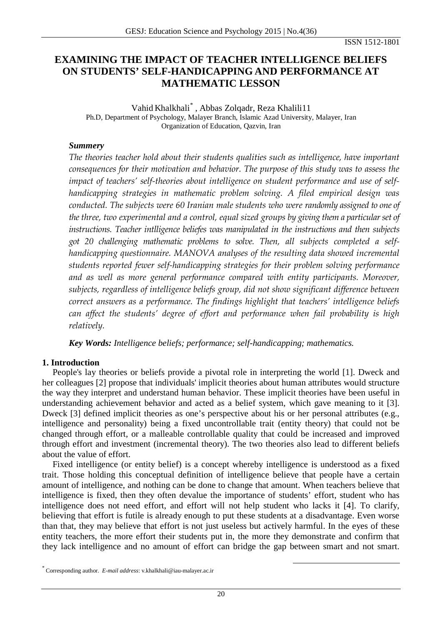ISSN 1512-1801

# **EXAMINING THE IMPACT OF TEACHER INTELLIGENCE BELIEFS ON STUDENTS' SELF-HANDICAPPING AND PERFORMANCE AT MATHEMATIC LESSON**

Vahid Khalkhali [\\*](#page-0-0) , Abbas Zolqadr, Reza Khalili11 Ph.D, Department of Psychology, Malayer Branch, Islamic Azad University, Malayer, Iran Organization of Education, Qazvin, Iran

### *Summery*

*The theories teacher hold about their students qualities such as intelligence, have important consequences for their motivation and behavior. The purpose of this study was to assess the impact of teachers' self-theories about intelligence on student performance and use of selfhandicapping strategies in mathematic problem solving. A filed empirical design was conducted. The subjects were 60 Iranian male students who were randomly assigned to one of the three, two experimental and a control, equal sized groups by giving them a particular set of instructions. Teacher intlligence beliefes was manipulated in the instructions and then subjects got 20 challenging mathematic problems to solve. Then, all subjects completed a selfhandicapping questionnaire. MANOVA analyses of the resulting data showed incremental students reported fewer self-handicapping strategies for their problem solving performance and as well as more general performance compared with entity participants. Moreover, subjects, regardless of intelligence beliefs group, did not show significant difference between correct answers as a performance. The findings highlight that teachers' intelligence beliefs can affect the students' degree of effort and performance when fail probability is high relatively.*

*Key Words: Intelligence beliefs; performance; self-handicapping; mathematics.*

### **1. Introduction**

People's lay theories or beliefs provide a pivotal role in interpreting the world [1]. Dweck and her colleagues [2] propose that individuals' implicit theories about human attributes would structure the way they interpret and understand human behavior. These implicit theories have been useful in understanding achievement behavior and acted as a belief system, which gave meaning to it [3]. Dweck [3] defined implicit theories as one's perspective about his or her personal attributes (e.g., intelligence and personality) being a fixed uncontrollable trait (entity theory) that could not be changed through effort, or a malleable controllable quality that could be increased and improved through effort and investment (incremental theory). The two theories also lead to different beliefs about the value of effort.

Fixed intelligence (or entity belief) is a concept whereby intelligence is understood as a fixed trait. Those holding this conceptual definition of intelligence believe that people have a certain amount of intelligence, and nothing can be done to change that amount. When teachers believe that intelligence is fixed, then they often devalue the importance of students' effort, student who has intelligence does not need effort, and effort will not help student who lacks it [4]. To clarify, believing that effort is futile is already enough to put these students at a disadvantage. Even worse than that, they may believe that effort is not just useless but actively harmful. In the eyes of these entity teachers, the more effort their students put in, the more they demonstrate and confirm that they lack intelligence and no amount of effort can bridge the gap between smart and not smart.

<span id="page-0-0"></span> <sup>\*</sup> Corresponding author. *E-mail address*: v.khalkhali@iau-malayer.ac.ir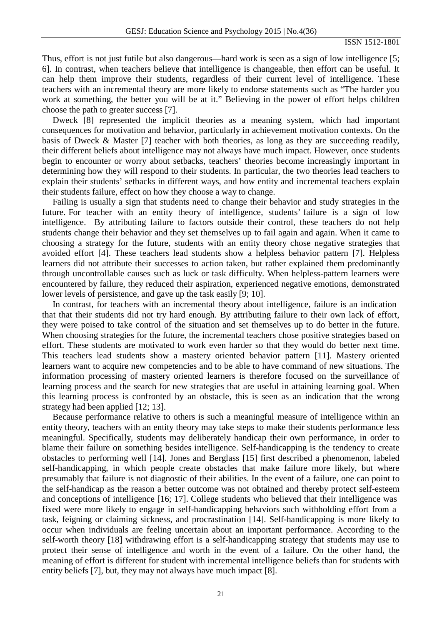Thus, effort is not just futile but also dangerous—hard work is seen as a sign of low intelligence [5; 6]. In contrast, when teachers believe that intelligence is changeable, then effort can be useful. It can help them improve their students, regardless of their current level of intelligence. These teachers with an incremental theory are more likely to endorse statements such as "The harder you work at something, the better you will be at it." Believing in the power of effort helps children choose the path to greater success [7].

Dweck [8] represented the implicit theories as a meaning system, which had important consequences for motivation and behavior, particularly in achievement motivation contexts. On the basis of Dweck & Master [7] teacher with both theories, as long as they are succeeding readily, their different beliefs about intelligence may not always have much impact. However, once students begin to encounter or worry about setbacks, teachers' theories become increasingly important in determining how they will respond to their students. In particular, the two theories lead teachers to explain their students' setbacks in different ways, and how entity and incremental teachers explain their students failure, effect on how they choose a way to change.

Failing is usually a sign that students need to change their behavior and study strategies in the future. For teacher with an entity theory of intelligence, students' failure is a sign of low intelligence. By attributing failure to factors outside their control, these teachers do not help students change their behavior and they set themselves up to fail again and again. When it came to choosing a strategy for the future, students with an entity theory chose negative strategies that avoided effort [4]. These teachers lead students show a helpless behavior pattern [7]. Helpless learners did not attribute their successes to action taken, but rather explained them predominantly through uncontrollable causes such as luck or task difficulty. When helpless-pattern learners were encountered by failure, they reduced their aspiration, experienced negative emotions, demonstrated lower levels of persistence, and gave up the task easily [9; 10].

In contrast, for teachers with an incremental theory about intelligence, failure is an indication that that their students did not try hard enough. By attributing failure to their own lack of effort, they were poised to take control of the situation and set themselves up to do better in the future. When choosing strategies for the future, the incremental teachers chose positive strategies based on effort. These students are motivated to work even harder so that they would do better next time. This teachers lead students show a mastery oriented behavior pattern [11]. Mastery oriented learners want to acquire new competencies and to be able to have command of new situations. The information processing of mastery oriented learners is therefore focused on the surveillance of learning process and the search for new strategies that are useful in attaining learning goal. When this learning process is confronted by an obstacle, this is seen as an indication that the wrong strategy had been applied [12; 13].

Because performance relative to others is such a meaningful measure of intelligence within an entity theory, teachers with an entity theory may take steps to make their students performance less meaningful. Specifically, students may deliberately handicap their own performance, in order to blame their failure on something besides intelligence. Self-handicapping is the tendency to create obstacles to performing well [14]. Jones and Berglass [15] first described a phenomenon, labeled self-handicapping, in which people create obstacles that make failure more likely, but where presumably that failure is not diagnostic of their abilities. In the event of a failure, one can point to the self-handicap as the reason a better outcome was not obtained and thereby protect self-esteem and conceptions of intelligence [16; 17]. College students who believed that their intelligence was fixed were more likely to engage in self-handicapping behaviors such withholding effort from a task, feigning or claiming sickness, and procrastination [14]. Self-handicapping is more likely to occur when individuals are feeling uncertain about an important performance. According to the self-worth theory [18] withdrawing effort is a self-handicapping strategy that students may use to protect their sense of intelligence and worth in the event of a failure. On the other hand, the meaning of effort is different for student with incremental intelligence beliefs than for students with entity beliefs [7], but, they may not always have much impact [8].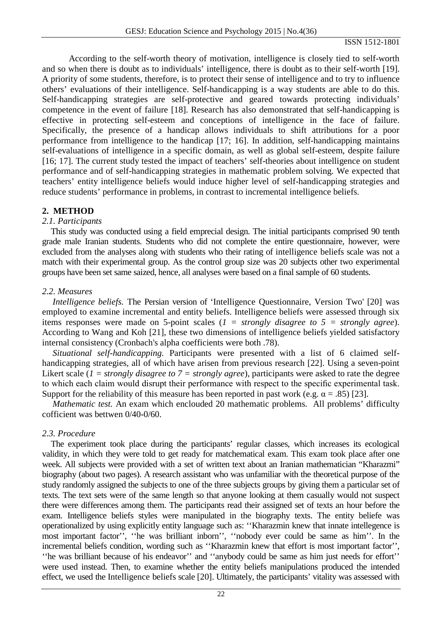ISSN 1512-1801

According to the self-worth theory of motivation, intelligence is closely tied to self-worth and so when there is doubt as to individuals' intelligence, there is doubt as to their self-worth [19]. A priority of some students, therefore, is to protect their sense of intelligence and to try to influence others' evaluations of their intelligence. Self-handicapping is a way students are able to do this. Self-handicapping strategies are self-protective and geared towards protecting individuals' competence in the event of failure [18]. Research has also demonstrated that self-handicapping is effective in protecting self-esteem and conceptions of intelligence in the face of failure. Specifically, the presence of a handicap allows individuals to shift attributions for a poor performance from intelligence to the handicap [17; 16]. In addition, self-handicapping maintains self-evaluations of intelligence in a specific domain, as well as global self-esteem, despite failure [16; 17]. The current study tested the impact of teachers' self-theories about intelligence on student performance and of self-handicapping strategies in mathematic problem solving. We expected that teachers' entity intelligence beliefs would induce higher level of self-handicapping strategies and reduce students' performance in problems, in contrast to incremental intelligence beliefs.

# **2. METHOD**

### *2.1. Participants*

This study was conducted using a field emprecial design. The initial participants comprised 90 tenth grade male Iranian students. Students who did not complete the entire questionnaire, however, were excluded from the analyses along with students who their rating of intelligence beliefs scale was not a match with their experimental group. As the control group size was 20 subjects other two experimental groups have been set same saized, hence, all analyses were based on a final sample of 60 students.

### *2.2. Measures*

*Intelligence beliefs.* The Persian version of 'Intelligence Questionnaire, Version Two' [20] was employed to examine incremental and entity beliefs. Intelligence beliefs were assessed through six items responses were made on 5-point scales (*1 = strongly disagree to 5 = strongly agree*). According to Wang and Koh [21], these two dimensions of intelligence beliefs yielded satisfactory internal consistency (Cronbach's alpha coefficients were both .78).

*Situational self-handicapping.* Participants were presented with a list of 6 claimed selfhandicapping strategies, all of which have arisen from previous research [22]. Using a seven-point Likert scale (*1 = strongly disagree to 7 = strongly agree*), participants were asked to rate the degree to which each claim would disrupt their performance with respect to the specific experimental task. Support for the reliability of this measure has been reported in past work (e.g.  $\alpha = .85$ ) [23].

*Mathematic test.* An exam which enclouded 20 mathematic problems. All problems' difficulty cofficient was bettwen 0/40-0/60.

### *2.3. Procedure*

The experiment took place during the participants' regular classes, which increases its ecological validity, in which they were told to get ready for matchematical exam. This exam took place after one week. All subjects were provided with a set of written text about an Iranian mathematician "Kharazmi" biography (about two pages). A research assistant who was unfamiliar with the theoretical purpose of the study randomly assigned the subjects to one of the three subjects groups by giving them a particular set of texts. The text sets were of the same length so that anyone looking at them casually would not suspect there were differences among them. The participants read their assigned set of texts an hour before the exam. Intelligence beliefs styles were manipulated in the biography texts. The entity beliefe was operationalized by using explicitly entity language such as: ''Kharazmin knew that innate intellegence is most important factor'', ''he was brilliant inborn'', ''nobody ever could be same as him''. In the incremental beliefs condition, wording such as ''Kharazmin knew that effort is most important factor'', ''he was brilliant because of his endeavor'' and ''anybody could be same as him just needs for effort'' were used instead. Then, to examine whether the entity beliefs manipulations produced the intended effect, we used the Intelligence beliefs scale [20]. Ultimately, the participants' vitality was assessed with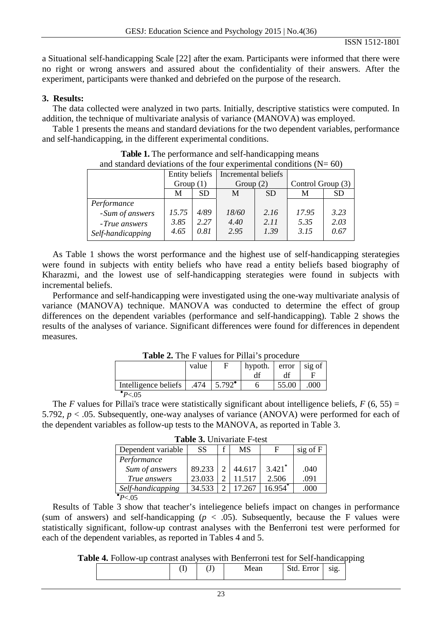a Situational self-handicapping Scale [22] after the exam. Participants were informed that there were no right or wrong answers and assured about the confidentiality of their answers. After the experiment, participants were thanked and debriefed on the purpose of the research.

# **3. Results:**

The data collected were analyzed in two parts. Initially, descriptive statistics were computed. In addition, the technique of multivariate analysis of variance (MANOVA) was employed.

Table 1 presents the means and standard deviations for the two dependent variables, performance and self-handicapping, in the different experimental conditions.

|                   | <b>Entity beliefs</b> |      | Incremental beliefs |           |                   |           |
|-------------------|-----------------------|------|---------------------|-----------|-------------------|-----------|
|                   | Group $(1)$           |      | Group $(2)$         |           | Control Group (3) |           |
|                   | <b>SD</b><br>M        |      | M                   | <b>SD</b> | М                 | <b>SD</b> |
| Performance       |                       |      |                     |           |                   |           |
| -Sum of answers   | 15.75                 | 4/89 | 18/60               | 2.16      | 17.95             | 3.23      |
| -True answers     | 3.85                  | 2.27 | 4.40                | 2.11      | 5.35              | 2.03      |
| Self-handicapping | 4.65                  | 0.81 | 2.95                | 1.39      | 3.15              | 0.67      |

**Table 1.** The performance and self-handicapping means and standard deviations of the four experimental conditions  $(N= 60)$ 

As Table 1 shows the worst performance and the highest use of self-handicapping sterategies were found in subjects with entity beliefs who have read a entity beliefs based biography of Kharazmi, and the lowest use of self-handicapping sterategies were found in subjects with incremental beliefs.

Performance and self-handicapping were investigated using the one-way multivariate analysis of variance (MANOVA) technique. MANOVA was conducted to determine the effect of group differences on the dependent variables (performance and self-handicapping). Table 2 shows the results of the analyses of variance. Significant differences were found for differences in dependent measures.

| <b>Table 2.</b> The F values for Pillai's procedure |       |                 |         |       |        |  |
|-----------------------------------------------------|-------|-----------------|---------|-------|--------|--|
|                                                     | value |                 | hypoth. | error | sig of |  |
|                                                     |       |                 |         | df    |        |  |
| Intelligence beliefs                                | .474  | $5.792^{\circ}$ |         | 55.00 | 000    |  |
|                                                     |       |                 |         |       |        |  |

**Table 2.** The F values for Pillai's procedure

experience of the state of the state of the state of the state of the state of the state of the state of the state of the state of the state of the state of the state of the state of the state of the state of the state of *<sup>P</sup>* <.05

The *F* values for Pillai's trace were statistically significant about intelligence beliefs,  $F(6, 55) =$ 5.792, *p* < .05. Subsequently, one-way analyses of variance (ANOVA) were performed for each of the dependent variables as follow-up tests to the MANOVA, as reported in Table 3.

**Table 3.** Univariate F-test

| Dependent variable | <b>SS</b> | MS     | Е                     | sig of F |
|--------------------|-----------|--------|-----------------------|----------|
| Performance        |           |        |                       |          |
| Sum of answers     | 89.233    | 44.617 | $3.421$ <sup>*</sup>  | .040     |
| True answers       | 23.033    | 11 517 | 2.506                 | .091     |
| Self-handicapping  | 34.533    | 17 267 | $16.954$ <sup>*</sup> | .000     |
| • $p > 05$         |           |        |                       |          |

experience and the second control of the second control of the second control of the second control of the second control of the second control of the second control of the second control of the second control of the secon *<sup>P</sup>* <.05

Results of Table 3 show that teacher's inteliegence beliefs impact on changes in performance (sum of answers) and self-handicapping  $(p < .05)$ . Subsequently, because the F values were statistically significant, follow-up contrast analyses with the Benferroni test were performed for each of the dependent variables, as reported in Tables 4 and 5.

**Table 4.** Follow-up contrast analyses with Benferroni test for Self-handicapping

|  | ιJ |  | --<br>010<br>- 44<br>ັ<br>∼ |
|--|----|--|-----------------------------|
|--|----|--|-----------------------------|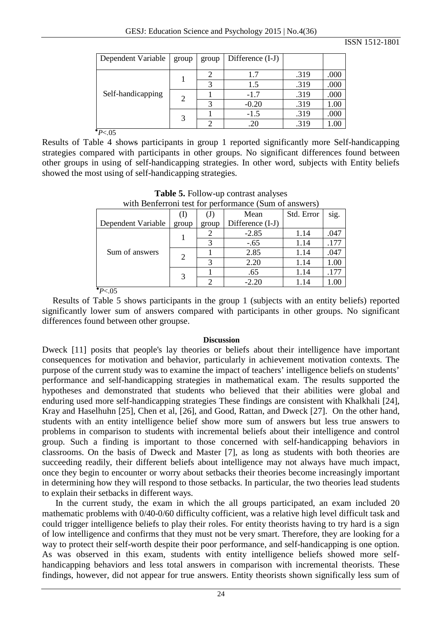|  | Dependent Variable | group          | group | Difference (I-J) |      |      |
|--|--------------------|----------------|-------|------------------|------|------|
|  | Self-handicapping  |                |       | 1.7              | .319 | .000 |
|  |                    |                |       | 1.5              | .319 | .000 |
|  |                    | $\overline{2}$ |       | $-1.7$           | .319 | .000 |
|  |                    |                |       | $-0.20$          | .319 | 1.00 |
|  |                    | 3              |       | $-1.5$           | .319 | .000 |
|  |                    |                |       | .20              | .319 | 1.00 |

*P*<.05

Results of Table 4 shows participants in group 1 reported significantly more Self-handicapping strategies compared with participants in other groups. No significant differences found between other groups in using of self-handicapping strategies. In other word, subjects with Entity beliefs showed the most using of self-handicapping strategies.

|  | with Benferroni test for performance (Sum of answers) |                     |       |                  |            |      |  |  |
|--|-------------------------------------------------------|---------------------|-------|------------------|------------|------|--|--|
|  |                                                       | (1)                 | (J)   | Mean             | Std. Error | sig. |  |  |
|  | Dependent Variable                                    | group               | group | Difference (I-J) |            |      |  |  |
|  | Sum of answers                                        |                     |       | $-2.85$          | 1.14       | .047 |  |  |
|  |                                                       |                     |       | $-.65$           | 1.14       | .177 |  |  |
|  |                                                       | $\overline{2}$<br>3 |       | 2.85             | 1.14       | .047 |  |  |
|  |                                                       |                     | 2     | 2.20             | 1.14       | 1.00 |  |  |
|  |                                                       |                     |       | .65              | 1.14       | .177 |  |  |
|  |                                                       |                     | ◠     | $-2.20$          | 1.14       | 1.00 |  |  |
|  | $\bullet$ D $\lt$ N $\le$                             |                     |       |                  |            |      |  |  |

| <b>Table 5.</b> Follow-up contrast analyses           |
|-------------------------------------------------------|
| with Benferroni test for performance (Sum of answers) |

*P*<.05

Results of Table 5 shows participants in the group 1 (subjects with an entity beliefs) reported significantly lower sum of answers compared with participants in other groups. No significant differences found between other groupse.

### **Discussion**

Dweck [11] posits that people's lay theories or beliefs about their intelligence have important consequences for motivation and behavior, particularly in achievement motivation contexts. The purpose of the current study was to examine the impact of teachers' intelligence beliefs on students' performance and self-handicapping strategies in mathematical exam. The results supported the hypotheses and demonstrated that students who believed that their abilities were global and enduring used more self-handicapping strategies These findings are consistent with Khalkhali [24], Kray and Haselhuhn [25], Chen et al, [26], and Good, Rattan, and Dweck [27]. On the other hand, students with an entity intelligence belief show more sum of answers but less true answers to problems in comparison to students with incremental beliefs about their intelligence and control group. Such a finding is important to those concerned with self-handicapping behaviors in classrooms. On the basis of Dweck and Master [7], as long as students with both theories are succeeding readily, their different beliefs about intelligence may not always have much impact, once they begin to encounter or worry about setbacks their theories become increasingly important in determining how they will respond to those setbacks. In particular, the two theories lead students to explain their setbacks in different ways.

In the current study, the exam in which the all groups participated, an exam included 20 mathematic problems with 0/40-0/60 difficulty cofficient, was a relative high level difficult task and could trigger intelligence beliefs to play their roles. For entity theorists having to try hard is a sign of low intelligence and confirms that they must not be very smart. Therefore, they are looking for a way to protect their self-worth despite their poor performance, and self-handicapping is one option. As was observed in this exam, students with entity intelligence beliefs showed more selfhandicapping behaviors and less total answers in comparison with incremental theorists. These findings, however, did not appear for true answers. Entity theorists shown significally less sum of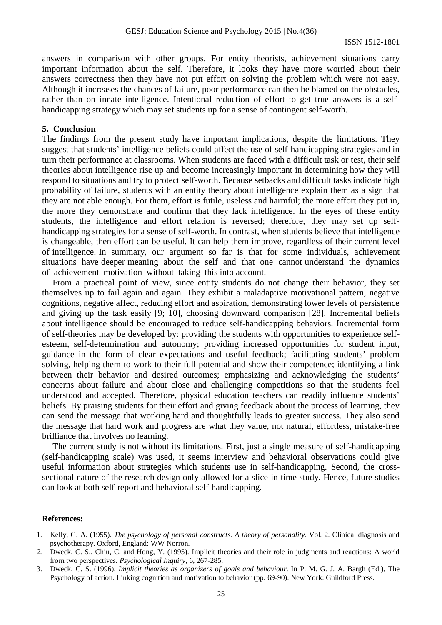ISSN 1512-1801

answers in comparison with other groups. For entity theorists, achievement situations carry important information about the self. Therefore, it looks they have more worried about their answers correctness then they have not put effort on solving the problem which were not easy. Although it increases the chances of failure, poor performance can then be blamed on the obstacles, rather than on innate intelligence. Intentional reduction of effort to get true answers is a selfhandicapping strategy which may set students up for a sense of contingent self-worth.

#### **5. Conclusion**

The findings from the present study have important implications, despite the limitations. They suggest that students' intelligence beliefs could affect the use of self-handicapping strategies and in turn their performance at classrooms. When students are faced with a difficult task or test, their self theories about intelligence rise up and become increasingly important in determining how they will respond to situations and try to protect self-worth. Because setbacks and difficult tasks indicate high probability of failure, students with an entity theory about intelligence explain them as a sign that they are not able enough. For them, effort is futile, useless and harmful; the more effort they put in, the more they demonstrate and confirm that they lack intelligence. In the eyes of these entity students, the intelligence and effort relation is reversed; therefore, they may set up selfhandicapping strategies for a sense of self-worth. In contrast, when students believe that intelligence is changeable, then effort can be useful. It can help them improve, regardless of their current level of intelligence. In summary, our argument so far is that for some individuals, achievement situations have deeper meaning about the self and that one cannot understand the dynamics of achievement motivation without taking this into account.

From a practical point of view, since entity students do not change their behavior, they set themselves up to fail again and again. They exhibit a maladaptive motivational pattern, negative cognitions, negative affect, reducing effort and aspiration, demonstrating lower levels of persistence and giving up the task easily [9; 10], choosing downward comparison [28]. Incremental beliefs about intelligence should be encouraged to reduce self-handicapping behaviors. Incremental form of self-theories may be developed by: providing the students with opportunities to experience selfesteem, self-determination and autonomy; providing increased opportunities for student input, guidance in the form of clear expectations and useful feedback; facilitating students' problem solving, helping them to work to their full potential and show their competence; identifying a link between their behavior and desired outcomes; emphasizing and acknowledging the students' concerns about failure and about close and challenging competitions so that the students feel understood and accepted. Therefore, physical education teachers can readily influence students' beliefs. By praising students for their effort and giving feedback about the process of learning, they can send the message that working hard and thoughtfully leads to greater success. They also send the message that hard work and progress are what they value, not natural, effortless, mistake-free brilliance that involves no learning.

The current study is not without its limitations. First, just a single measure of self-handicapping (self-handicapping scale) was used, it seems interview and behavioral observations could give useful information about strategies which students use in self-handicapping. Second, the crosssectional nature of the research design only allowed for a slice-in-time study. Hence, future studies can look at both self-report and behavioral self-handicapping.

#### **References:**

- 1. Kelly, G. A. (1955). *The psychology of personal constructs. A theory of personality.* Vol. 2. Clinical diagnosis and psychotherapy. Oxford, England: WW Norron.
- *2.* Dweck, C. S., Chiu, C. and Hong, Y. (1995). Implicit theories and their role in judgments and reactions: A world from two perspectives. *Psychological Inquiry,* 6, 267-285.
- 3. Dweck, C. S. (1996). *Implicit theories as organizers of goals and behaviour*. In P. M. G. J. A. Bargh (Ed.), The Psychology of action. Linking cognition and motivation to behavior (pp. 69-90). New York: Guildford Press.